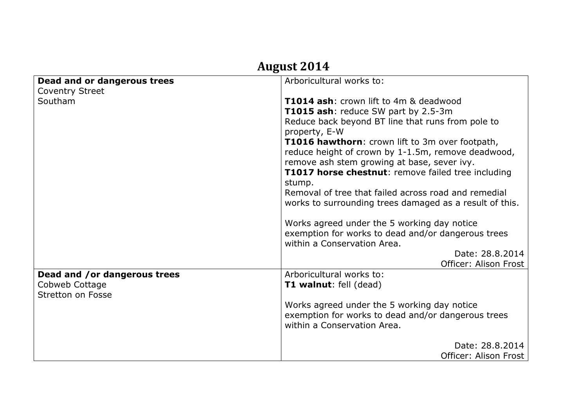| August 2014                  |                                                                     |
|------------------------------|---------------------------------------------------------------------|
| Dead and or dangerous trees  | Arboricultural works to:                                            |
| <b>Coventry Street</b>       |                                                                     |
| Southam                      | <b>T1014 ash:</b> crown lift to 4m & deadwood                       |
|                              | T1015 ash: reduce SW part by 2.5-3m                                 |
|                              | Reduce back beyond BT line that runs from pole to<br>property, E-W  |
|                              | T1016 hawthorn: crown lift to 3m over footpath,                     |
|                              | reduce height of crown by 1-1.5m, remove deadwood,                  |
|                              | remove ash stem growing at base, sever ivy.                         |
|                              | <b>T1017 horse chestnut:</b> remove failed tree including<br>stump. |
|                              | Removal of tree that failed across road and remedial                |
|                              | works to surrounding trees damaged as a result of this.             |
|                              |                                                                     |
|                              | Works agreed under the 5 working day notice                         |
|                              | exemption for works to dead and/or dangerous trees                  |
|                              | within a Conservation Area.                                         |
|                              | Date: 28.8.2014                                                     |
|                              | Officer: Alison Frost                                               |
| Dead and /or dangerous trees | Arboricultural works to:                                            |
| Cobweb Cottage               | <b>T1 walnut:</b> fell (dead)                                       |
| Stretton on Fosse            |                                                                     |
|                              | Works agreed under the 5 working day notice                         |
|                              | exemption for works to dead and/or dangerous trees                  |
|                              | within a Conservation Area.                                         |
|                              |                                                                     |
|                              | Date: 28.8.2014                                                     |
|                              | Officer: Alison Frost                                               |

## **August 2014**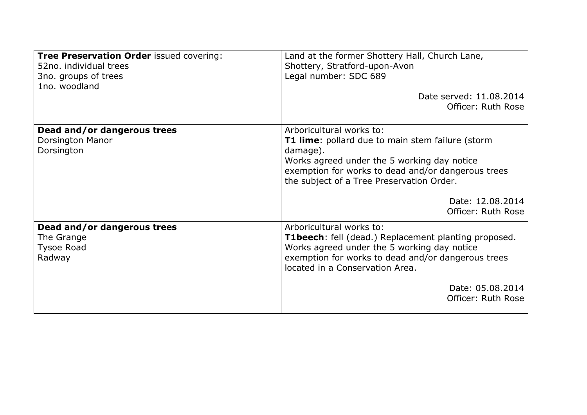| Tree Preservation Order issued covering:<br>52no. individual trees<br>3no. groups of trees<br>1no. woodland | Land at the former Shottery Hall, Church Lane,<br>Shottery, Stratford-upon-Avon<br>Legal number: SDC 689<br>Date served: 11.08.2014<br>Officer: Ruth Rose                                                                                                             |
|-------------------------------------------------------------------------------------------------------------|-----------------------------------------------------------------------------------------------------------------------------------------------------------------------------------------------------------------------------------------------------------------------|
| Dead and/or dangerous trees<br>Dorsington Manor<br>Dorsington                                               | Arboricultural works to:<br><b>T1 lime:</b> pollard due to main stem failure (storm<br>damage).<br>Works agreed under the 5 working day notice<br>exemption for works to dead and/or dangerous trees<br>the subject of a Tree Preservation Order.<br>Date: 12.08.2014 |
| Dead and/or dangerous trees<br>The Grange<br><b>Tysoe Road</b><br>Radway                                    | Officer: Ruth Rose<br>Arboricultural works to:<br>T1beech: fell (dead.) Replacement planting proposed.<br>Works agreed under the 5 working day notice<br>exemption for works to dead and/or dangerous trees<br>located in a Conservation Area.                        |
|                                                                                                             | Date: 05.08.2014<br>Officer: Ruth Rose                                                                                                                                                                                                                                |